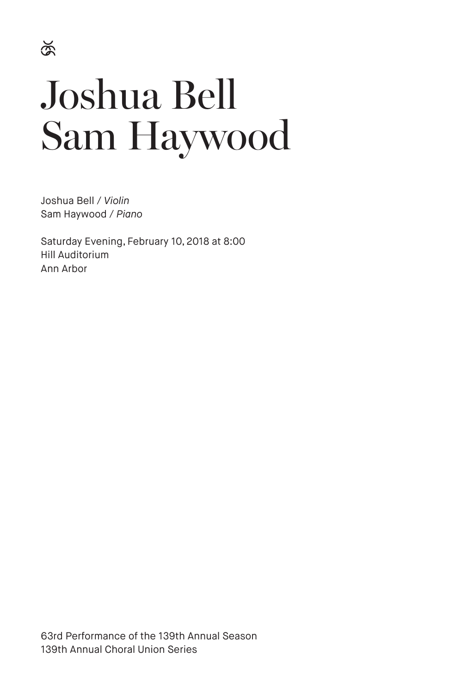# Joshua Bell Sam Haywood

Joshua Bell / *Violin* Sam Haywood / *Piano*

Saturday Evening, February 10, 2018 at 8:00 Hill Auditorium Ann Arbor

63rd Performance of the 139th Annual Season 139th Annual Choral Union Series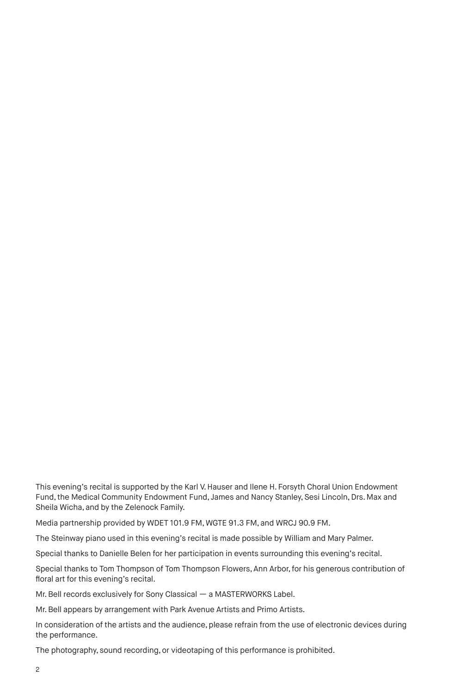This evening's recital is supported by the Karl V. Hauser and Ilene H. Forsyth Choral Union Endowment Fund, the Medical Community Endowment Fund, James and Nancy Stanley, Sesi Lincoln, Drs. Max and Sheila Wicha, and by the Zelenock Family.

Media partnership provided by WDET 101.9 FM, WGTE 91.3 FM, and WRCJ 90.9 FM.

The Steinway piano used in this evening's recital is made possible by William and Mary Palmer.

Special thanks to Danielle Belen for her participation in events surrounding this evening's recital.

Special thanks to Tom Thompson of Tom Thompson Flowers, Ann Arbor, for his generous contribution of floral art for this evening's recital.

Mr. Bell records exclusively for Sony Classical — a MASTERWORKS Label.

Mr. Bell appears by arrangement with Park Avenue Artists and Primo Artists.

In consideration of the artists and the audience, please refrain from the use of electronic devices during the performance.

The photography, sound recording, or videotaping of this performance is prohibited.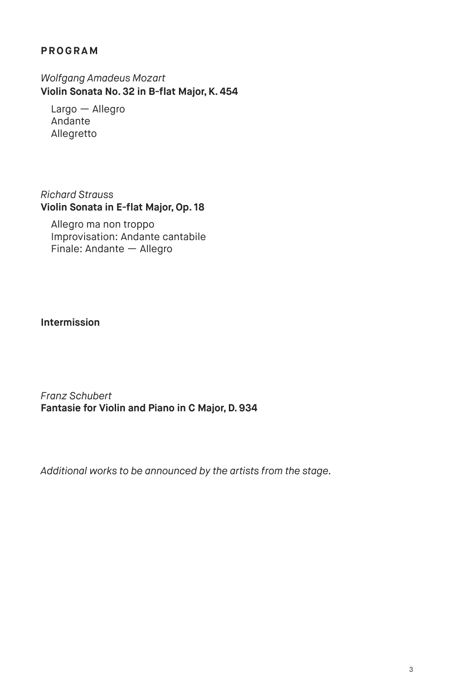# **PROGRAM**

*Wolfgang Amadeus Mozart*  **Violin Sonata No. 32 in B-flat Major, K. 454** 

Largo — Allegro Andante Allegretto

*Richard Strauss*  **Violin Sonata in E-flat Major, Op. 18** 

Allegro ma non troppo Improvisation: Andante cantabile Finale: Andante — Allegro

# **Intermission**

*Franz Schubert*  **Fantasie for Violin and Piano in C Major, D. 934**

*Additional works to be announced by the artists from the stage.*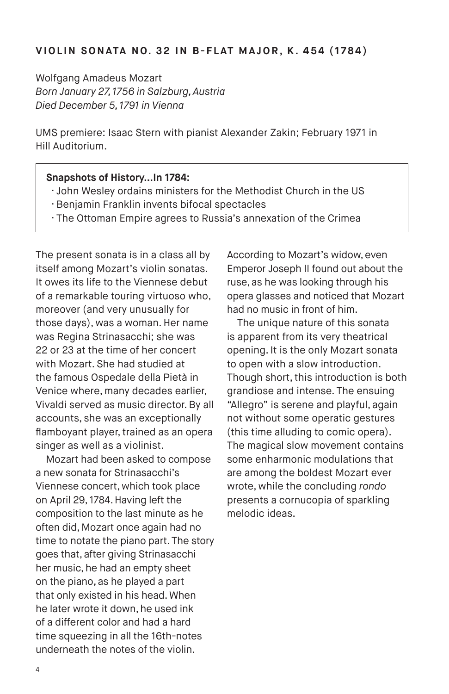Wolfgang Amadeus Mozart *Born January 27, 1756 in Salzburg, Austria Died December 5, 1791 in Vienna*

UMS premiere: Isaac Stern with pianist Alexander Zakin; February 1971 in Hill Auditorium.

#### **Snapshots of History…In 1784:**

- · John Wesley ordains ministers for the Methodist Church in the US
- · Benjamin Franklin invents bifocal spectacles
- · The Ottoman Empire agrees to Russia's annexation of the Crimea

The present sonata is in a class all by itself among Mozart's violin sonatas. It owes its life to the Viennese debut of a remarkable touring virtuoso who, moreover (and very unusually for those days), was a woman. Her name was Regina Strinasacchi; she was 22 or 23 at the time of her concert with Mozart. She had studied at the famous Ospedale della Pietà in Venice where, many decades earlier, Vivaldi served as music director. By all accounts, she was an exceptionally flamboyant player, trained as an opera singer as well as a violinist.

Mozart had been asked to compose a new sonata for Strinasacchi's Viennese concert, which took place on April 29, 1784. Having left the composition to the last minute as he often did, Mozart once again had no time to notate the piano part. The story goes that, after giving Strinasacchi her music, he had an empty sheet on the piano, as he played a part that only existed in his head. When he later wrote it down, he used ink of a different color and had a hard time squeezing in all the 16th-notes underneath the notes of the violin.

According to Mozart's widow, even Emperor Joseph II found out about the ruse, as he was looking through his opera glasses and noticed that Mozart had no music in front of him.

The unique nature of this sonata is apparent from its very theatrical opening. It is the only Mozart sonata to open with a slow introduction. Though short, this introduction is both grandiose and intense. The ensuing "Allegro" is serene and playful, again not without some operatic gestures (this time alluding to comic opera). The magical slow movement contains some enharmonic modulations that are among the boldest Mozart ever wrote, while the concluding *rondo* presents a cornucopia of sparkling melodic ideas.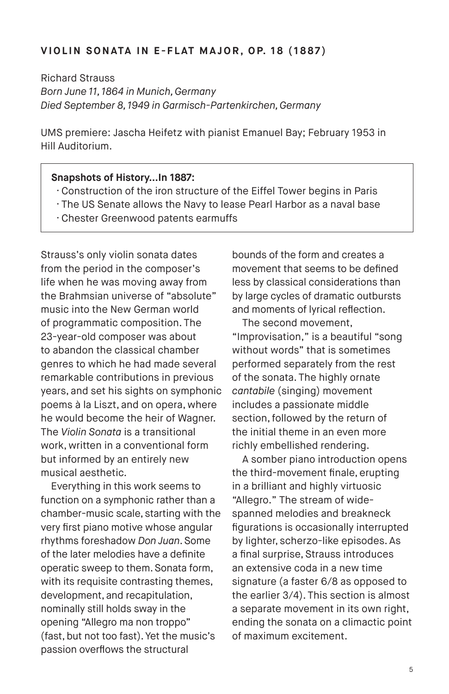#### **V I O L I N S O N ATA I N E - F L AT M A J O R , O P. 1 8 ( 1 8 8 7 )**

Richard Strauss *Born June 11, 1864 in Munich, Germany Died September 8, 1949 in Garmisch-Partenkirchen, Germany*

UMS premiere: Jascha Heifetz with pianist Emanuel Bay; February 1953 in Hill Auditorium.

#### **Snapshots of History…In 1887:**

- · Construction of the iron structure of the Eiffel Tower begins in Paris
- · The US Senate allows the Navy to lease Pearl Harbor as a naval base
- · Chester Greenwood patents earmuffs

Strauss's only violin sonata dates from the period in the composer's life when he was moving away from the Brahmsian universe of "absolute" music into the New German world of programmatic composition. The 23-year-old composer was about to abandon the classical chamber genres to which he had made several remarkable contributions in previous years, and set his sights on symphonic poems à la Liszt, and on opera, where he would become the heir of Wagner. The *Violin Sonata* is a transitional work, written in a conventional form but informed by an entirely new musical aesthetic.

Everything in this work seems to function on a symphonic rather than a chamber-music scale, starting with the very first piano motive whose angular rhythms foreshadow *Don Juan*. Some of the later melodies have a definite operatic sweep to them. Sonata form, with its requisite contrasting themes, development, and recapitulation, nominally still holds sway in the opening "Allegro ma non troppo" (fast, but not too fast). Yet the music's passion overflows the structural

bounds of the form and creates a movement that seems to be defined less by classical considerations than by large cycles of dramatic outbursts and moments of lyrical reflection.

The second movement, "Improvisation," is a beautiful "song without words" that is sometimes performed separately from the rest of the sonata. The highly ornate *cantabile* (singing) movement includes a passionate middle section, followed by the return of the initial theme in an even more richly embellished rendering.

A somber piano introduction opens the third-movement finale, erupting in a brilliant and highly virtuosic "Allegro." The stream of widespanned melodies and breakneck figurations is occasionally interrupted by lighter, scherzo-like episodes. As a final surprise, Strauss introduces an extensive coda in a new time signature (a faster 6/8 as opposed to the earlier 3/4). This section is almost a separate movement in its own right, ending the sonata on a climactic point of maximum excitement.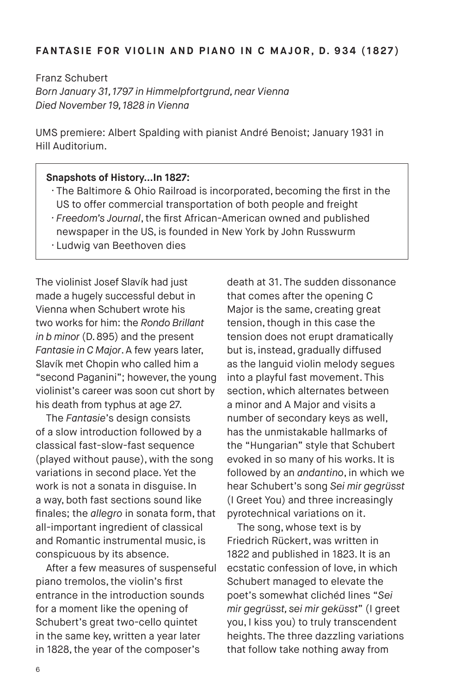#### **FANTASIE FOR VIOLIN AND PIANO IN C MAJOR, D. 934 (1827)**

Franz Schubert *Born January 31, 1797 in Himmelpfortgrund, near Vienna Died November 19, 1828 in Vienna*

UMS premiere: Albert Spalding with pianist André Benoist; January 1931 in Hill Auditorium.

#### **Snapshots of History…In 1827:**

- · The Baltimore & Ohio Railroad is incorporated, becoming the first in the US to offer commercial transportation of both people and freight
- *· Freedom's Journal*, the first African-American owned and published newspaper in the US, is founded in New York by John Russwurm
- 
- · Ludwig van Beethoven dies

The violinist Josef Slavík had just made a hugely successful debut in Vienna when Schubert wrote his two works for him: the *Rondo Brillant in b minor* (D. 895) and the present *Fantasie in C Major*. A few years later, Slavík met Chopin who called him a "second Paganini"; however, the young violinist's career was soon cut short by his death from typhus at age 27.

The *Fantasie*'s design consists of a slow introduction followed by a classical fast-slow-fast sequence (played without pause), with the song variations in second place. Yet the work is not a sonata in disguise. In a way, both fast sections sound like finales; the *allegro* in sonata form, that all-important ingredient of classical and Romantic instrumental music, is conspicuous by its absence.

After a few measures of suspenseful piano tremolos, the violin's first entrance in the introduction sounds for a moment like the opening of Schubert's great two-cello quintet in the same key, written a year later in 1828, the year of the composer's

death at 31. The sudden dissonance that comes after the opening C Major is the same, creating great tension, though in this case the tension does not erupt dramatically but is, instead, gradually diffused as the languid violin melody segues into a playful fast movement. This section, which alternates between a minor and A Major and visits a number of secondary keys as well, has the unmistakable hallmarks of the "Hungarian" style that Schubert evoked in so many of his works. It is followed by an *andantino*, in which we hear Schubert's song *Sei mir gegrüsst* (I Greet You) and three increasingly pyrotechnical variations on it.

The song, whose text is by Friedrich Rückert, was written in 1822 and published in 1823. It is an ecstatic confession of love, in which Schubert managed to elevate the poet's somewhat clichéd lines "*Sei mir gegrüsst, sei mir geküsst*" (I greet you, I kiss you) to truly transcendent heights. The three dazzling variations that follow take nothing away from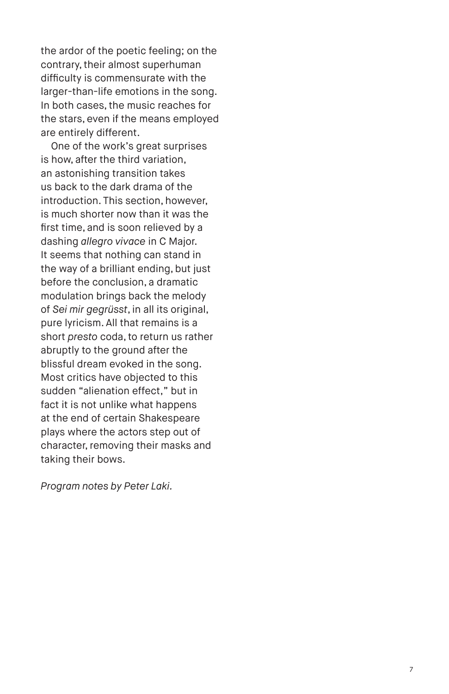the ardor of the poetic feeling; on the contrary, their almost superhuman difficulty is commensurate with the larger-than-life emotions in the song. In both cases, the music reaches for the stars, even if the means employed are entirely different.

One of the work's great surprises is how, after the third variation, an astonishing transition takes us back to the dark drama of the introduction. This section, however, is much shorter now than it was the first time, and is soon relieved by a dashing *allegro vivace* in C Major. It seems that nothing can stand in the way of a brilliant ending, but just before the conclusion, a dramatic modulation brings back the melody of *Sei mir gegrüsst*, in all its original, pure lyricism. All that remains is a short *presto* coda, to return us rather abruptly to the ground after the blissful dream evoked in the song. Most critics have objected to this sudden "alienation effect," but in fact it is not unlike what happens at the end of certain Shakespeare plays where the actors step out of character, removing their masks and taking their bows.

*Program notes by Peter Laki.*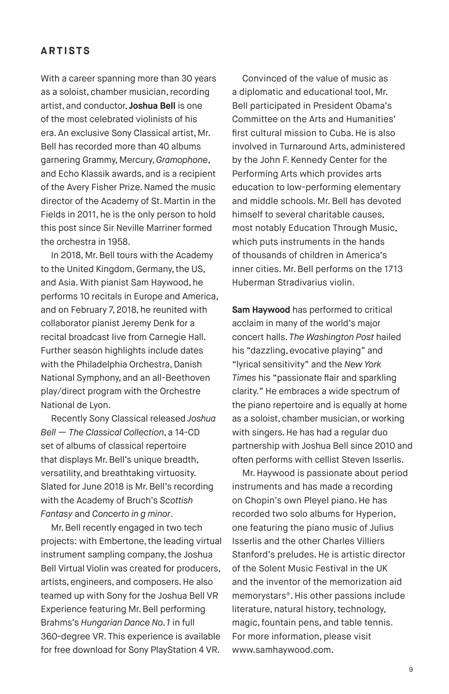## **ARTISTS**

With a career spanning more than 30 years as a soloist, chamber musician, recording artist, and conductor, **Joshua Bell** is one of the most celebrated violinists of his era. An exclusive Sony Classical artist, Mr. Bell has recorded more than 40 albums garnering Grammy, Mercury, *Gramophone*, and Echo Klassik awards, and is a recipient of the Avery Fisher Prize. Named the music director of the Academy of St. Martin in the Fields in 2011, he is the only person to hold this post since Sir Neville Marriner formed the orchestra in 1958.

In 2018, Mr. Bell tours with the Academy to the United Kingdom, Germany, the US, and Asia. With pianist Sam Haywood, he performs 10 recitals in Europe and America, and on February 7, 2018, he reunited with collaborator pianist Jeremy Denk for a recital broadcast live from Carnegie Hall. Further season highlights include dates with the Philadelphia Orchestra, Danish National Symphony, and an all-Beethoven play/direct program with the Orchestre National de Lyon.

Recently Sony Classical released *Joshua Bell — The Classical Collection*, a 14-CD set of albums of classical repertoire that displays Mr. Bell's unique breadth, versatility, and breathtaking virtuosity. Slated for June 2018 is Mr. Bell's recording with the Academy of Bruch's *Scottish Fantasy* and *Concerto in g minor*.

Mr. Bell recently engaged in two tech projects: with Embertone, the leading virtual instrument sampling company, the Joshua Bell Virtual Violin was created for producers, artists, engineers, and composers. He also teamed up with Sony for the Joshua Bell VR Experience featuring Mr. Bell performing Brahms's *Hungarian Dance No. 1* in full 360-degree VR. This experience is available for free download for Sony PlayStation 4 VR.

Convinced of the value of music as a diplomatic and educational tool, Mr. Bell participated in President Obama's Committee on the Arts and Humanities' first cultural mission to Cuba. He is also involved in Turnaround Arts, administered by the John F. Kennedy Center for the Performing Arts which provides arts education to low-performing elementary and middle schools. Mr. Bell has devoted himself to several charitable causes, most notably Education Through Music, which puts instruments in the hands of thousands of children in America's inner cities. Mr. Bell performs on the 1713 Huberman Stradivarius violin.

**Sam Haywood** has performed to critical acclaim in many of the world's major concert halls. *The Washington Post* hailed his "dazzling, evocative playing" and "lyrical sensitivity" and the *New York Times* his "passionate flair and sparkling clarity." He embraces a wide spectrum of the piano repertoire and is equally at home as a soloist, chamber musician, or working with singers. He has had a regular duo partnership with Joshua Bell since 2010 and often performs with cellist Steven Isserlis.

Mr. Haywood is passionate about period instruments and has made a recording on Chopin's own Pleyel piano. He has recorded two solo albums for Hyperion, one featuring the piano music of Julius Isserlis and the other Charles Villiers Stanford's preludes. He is artistic director of the Solent Music Festival in the UK and the inventor of the memorization aid memorystars®. His other passions include literature, natural history, technology, magic, fountain pens, and table tennis. For more information, please visit www.samhaywood.com.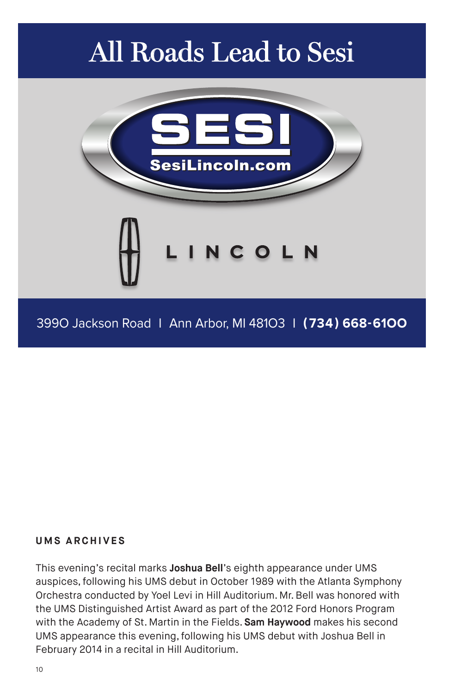# All Roads Lead to Sesi



## **UMS ARCHIVES**

This evening's recital marks **Joshua Bell**'s eighth appearance under UMS auspices, following his UMS debut in October 1989 with the Atlanta Symphony Orchestra conducted by Yoel Levi in Hill Auditorium. Mr. Bell was honored with the UMS Distinguished Artist Award as part of the 2012 Ford Honors Program with the Academy of St. Martin in the Fields. **Sam Haywood** makes his second UMS appearance this evening, following his UMS debut with Joshua Bell in February 2014 in a recital in Hill Auditorium.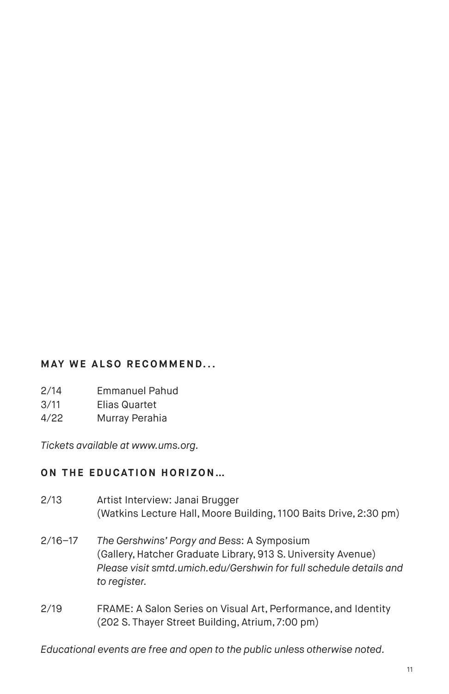# **MAY WE ALSO RECOMMEND...**

- 2/14 Emmanuel Pahud
- 3/11 Elias Quartet
- 4/22 Murray Perahia

*Tickets available at www.ums.org.*

# **ON THE EDUCATION HORIZON...**

| 2/13        | Artist Interview: Janai Brugger<br>(Watkins Lecture Hall, Moore Building, 1100 Baits Drive, 2:30 pm)                                                                                              |
|-------------|---------------------------------------------------------------------------------------------------------------------------------------------------------------------------------------------------|
| $2/16 - 17$ | The Gershwins' Porgy and Bess: A Symposium<br>(Gallery, Hatcher Graduate Library, 913 S. University Avenue)<br>Please visit smtd.umich.edu/Gershwin for full schedule details and<br>to register. |
| 2/19        | FRAME: A Salon Series on Visual Art, Performance, and Identity<br>(202 S. Thayer Street Building, Atrium, 7:00 pm)                                                                                |

*Educational events are free and open to the public unless otherwise noted.*